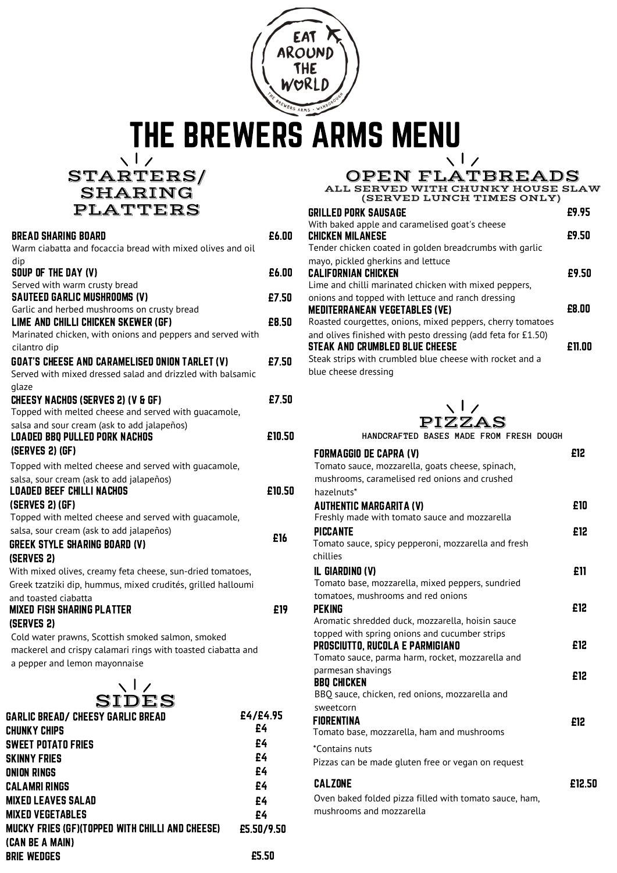

THE BREWERS ARMS MENU

 $\frac{\sqrt{1}}{STARTERS/1}$ SHARING PLATTERS

| <b>BREAD SHARING BOARD</b>                                                                                          | £6.00    |
|---------------------------------------------------------------------------------------------------------------------|----------|
| Warm ciabatta and focaccia bread with mixed olives and oil                                                          |          |
| dip<br>SOUP OF THE DAY (V)                                                                                          | £6.00    |
| Served with warm crusty bread<br><b>SAUTEED GARLIC MUSHROOMS (V)</b>                                                | £7.50    |
| Garlic and herbed mushrooms on crusty bread                                                                         |          |
| LIME AND CHILLI CHICKEN SKEWER (GF)                                                                                 | £8.50    |
| Marinated chicken, with onions and peppers and served with                                                          |          |
| cilantro dip                                                                                                        |          |
| <b>GOAT'S CHEESE AND CARAMELISED ONION TARLET (V)</b><br>Served with mixed dressed salad and drizzled with balsamic | £7.50    |
| glaze                                                                                                               | £7.50    |
| <b>CHEESY NACHOS (SERVES 2) (V &amp; GF)</b><br>Topped with melted cheese and served with guacamole,                |          |
| salsa and sour cream (ask to add jalapeños)                                                                         |          |
| <b>LOADED BBQ PULLED PORK NACHOS</b>                                                                                | £10.50   |
| (SERVES 2) (GF)                                                                                                     |          |
| Topped with melted cheese and served with quacamole,                                                                |          |
| salsa, sour cream (ask to add jalapeños)                                                                            |          |
| <b>LOADED BEEF CHILLI NACHOS</b>                                                                                    | £10.50   |
| (SERVES 2) (GF)                                                                                                     |          |
| Topped with melted cheese and served with guacamole,                                                                |          |
| salsa, sour cream (ask to add jalapeños)                                                                            | £16      |
| <b>GREEK STYLE SHARING BOARD (V)</b>                                                                                |          |
| (SERVES 2)                                                                                                          |          |
| With mixed olives, creamy feta cheese, sun-dried tomatoes,                                                          |          |
| Greek tzatziki dip, hummus, mixed crudités, grilled halloumi                                                        |          |
| and toasted ciabatta<br><b>MIXED FISH SHARING PLATTER</b>                                                           | £19      |
| (SERVES 2)                                                                                                          |          |
| Cold water prawns, Scottish smoked salmon, smoked                                                                   |          |
| mackerel and crispy calamari rings with toasted ciabatta and                                                        |          |
| a pepper and lemon mayonnaise                                                                                       |          |
| $\setminus$ $\vdash$<br>SIDES                                                                                       |          |
| <b>GARLIC BREAD/ CHEESY GARLIC BREAD</b>                                                                            | £4/£4.95 |
| CHUNKY CHIPS                                                                                                        | £4       |
| SWEET POTATO FRIES                                                                                                  | £4       |
| SKINNY FRIES                                                                                                        | £4       |
| ONION RINGS                                                                                                         | £4       |
| CALAMRI RINGS                                                                                                       | £4       |
|                                                                                                                     |          |

MIXED LEAVES SALAD MIXED VEGETABLES

(CAN BE A MAIN) BRIE WEDGES

MUCKY FRIES (GF)(TOPPED WITH CHILLI AND CHEESE)

## OPEN FLATBREADS ALL SERVED WITH CHUNKY HOUSE SLAW

(SERVED LUNCH TIMES ONLY)

| GRILLED PORK SAUSAGE                                                                                                                                              | £9 95  |
|-------------------------------------------------------------------------------------------------------------------------------------------------------------------|--------|
| With baked apple and caramelised goat's cheese<br><b>CHICKEN MILANESE</b>                                                                                         | £9.50  |
| Tender chicken coated in golden breadcrumbs with qarlic                                                                                                           |        |
| mayo, pickled gherkins and lettuce<br>CALIFORNIAN CHICKEN<br>Lime and chilli marinated chicken with mixed peppers,                                                | £9.50  |
| onions and topped with lettuce and ranch dressing<br><b>MEDITERRANEAN VEGETABLES (VE)</b><br>Roasted courgettes, onions, mixed peppers, cherry tomatoes           | £8.00  |
| and olives finished with pesto dressing (add feta for £1.50)<br><b>STEAK AND CRUMBLED BLUE CHEESE</b><br>Steak strips with crumbled blue cheese with rocket and a | £11.00 |
| blue cheese dressing                                                                                                                                              |        |



**HANDCRAFTED BASES MADE FROM FRESH DOUGH**

| <b>FORMAGGIO DE CAPRA (V)</b>                          | £12    |
|--------------------------------------------------------|--------|
| Tomato sauce, mozzarella, goats cheese, spinach,       |        |
| mushrooms, caramelised red onions and crushed          |        |
| hazelnuts*                                             |        |
| <b>AUTHENTIC MARGARITA (V)</b>                         | £10    |
| Freshly made with tomato sauce and mozzarella          |        |
| <b>PICCANTE</b>                                        | £12    |
| Tomato sauce, spicy pepperoni, mozzarella and fresh    |        |
| chillies                                               |        |
| IL GIARDINO (V)                                        | £11    |
| Tomato base, mozzarella, mixed peppers, sundried       |        |
| tomatoes, mushrooms and red onions                     |        |
| PEKING                                                 | £12    |
| Aromatic shredded duck, mozzarella, hoisin sauce       |        |
| topped with spring onions and cucumber strips          |        |
| PROSCIUTTO, RUCOLA E PARMIGIANO                        | £12    |
| Tomato sauce, parma harm, rocket, mozzarella and       |        |
| parmesan shavings                                      | £12    |
| <b>BBQ CHICKEN</b>                                     |        |
| BBO sauce, chicken, red onions, mozzarella and         |        |
| sweetcorn                                              |        |
| FIORENTINA                                             | £12    |
| Tomato base, mozzarella, ham and mushrooms             |        |
| *Contains nuts                                         |        |
| Pizzas can be made gluten free or vegan on request     |        |
| <b>CALZONE</b>                                         | £12.50 |
| Oven baked folded pizza filled with tomato sauce, ham, |        |
| mushrooms and mozzarella                               |        |
|                                                        |        |

£4 £4 £5.50/9.50